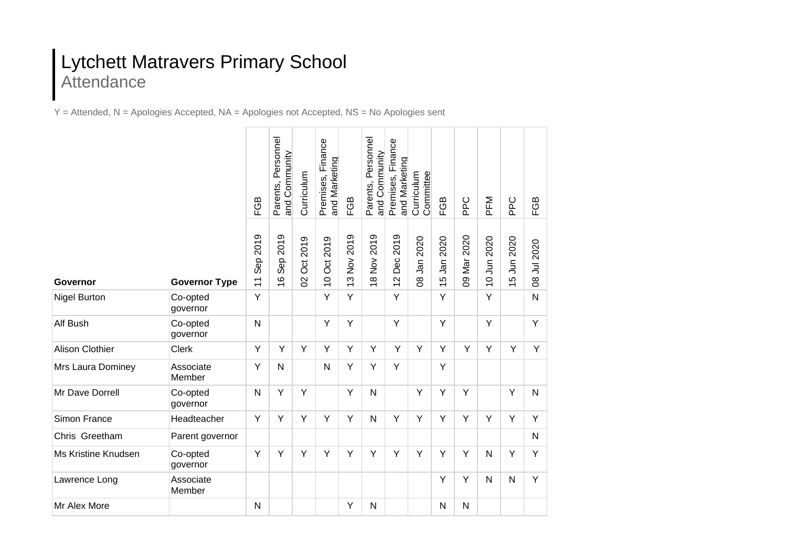## Lytchett Matravers Primary School Attendance

Y = Attended, N = Apologies Accepted, NA = Apologies not Accepted, NS = No Apologies sent

|                        |                      | FGB                           | Parents, Personnel<br>and Community | Curriculum          | Premises, Finance<br>and Marketing       | FGB         | Parents, Personnel<br>and Community | Finance<br>and Marketing<br>Premises, | Curriculum<br>Committee     | FGB         | <b>Ddd</b>  | PFM              | ppC        | FGB          |
|------------------------|----------------------|-------------------------------|-------------------------------------|---------------------|------------------------------------------|-------------|-------------------------------------|---------------------------------------|-----------------------------|-------------|-------------|------------------|------------|--------------|
| Governor               | <b>Governor Type</b> | 2019<br>Sep<br>$\overline{1}$ | 2019<br>Sep:<br>$\frac{6}{5}$       | Oct 2019<br>$\beta$ | 2019<br>$\overline{5}$<br>$\overline{C}$ | 13 Nov 2019 | 2019<br>18 Nov                      | 2019<br>Dec<br>$\overline{c}$         | 2020<br>Jan<br>$\mathsf{g}$ | 15 Jan 2020 | 09 Mar 2020 | 2020<br>10 Jun 2 | 5 Jun 2020 | 08 Jul 2020  |
| <b>Nigel Burton</b>    | Co-opted<br>governor | Y                             |                                     |                     | Y                                        | Y           |                                     | Y                                     |                             | Y           |             | Y                |            | $\mathsf{N}$ |
| Alf Bush               | Co-opted<br>governor | N                             |                                     |                     | Y                                        | Υ           |                                     | Y                                     |                             | Y           |             | Y                |            | Y            |
| <b>Alison Clothier</b> | <b>Clerk</b>         | Y                             | Y                                   | Y                   | Y                                        | Y           | Y                                   | Y                                     | Y                           | Y           | Y           | Y                | Y          | Y            |
| Mrs Laura Dominey      | Associate<br>Member  | Y                             | N                                   |                     | N                                        | Y           | Y                                   | Y                                     |                             | Y           |             |                  |            |              |
| Mr Dave Dorrell        | Co-opted<br>governor | $\mathsf{N}$                  | Y                                   | Y                   |                                          | Y           | N                                   |                                       | Y                           | Ÿ           | Y           |                  | Y          | $\mathsf{N}$ |
| Simon France           | Headteacher          | Y                             | Y                                   | Y                   | Y                                        | Υ           | $\mathsf{N}$                        | Y                                     | Y                           | Y           | Y           | Y                | Υ          | Y            |
| Chris Greetham         | Parent governor      |                               |                                     |                     |                                          |             |                                     |                                       |                             |             |             |                  |            | $\mathsf{N}$ |
| Ms Kristine Knudsen    | Co-opted<br>governor | Y                             | Y                                   | Y                   | Y                                        | Y           | Y                                   | Y                                     | Y                           | Y           | Y           | N                | Y          | Y            |
| Lawrence Long          | Associate<br>Member  |                               |                                     |                     |                                          |             |                                     |                                       |                             | Y           | Y           | N                | N          | Y            |
| Mr Alex More           |                      | N                             |                                     |                     |                                          | Υ           | $\mathsf{N}$                        |                                       |                             | N           | N           |                  |            |              |